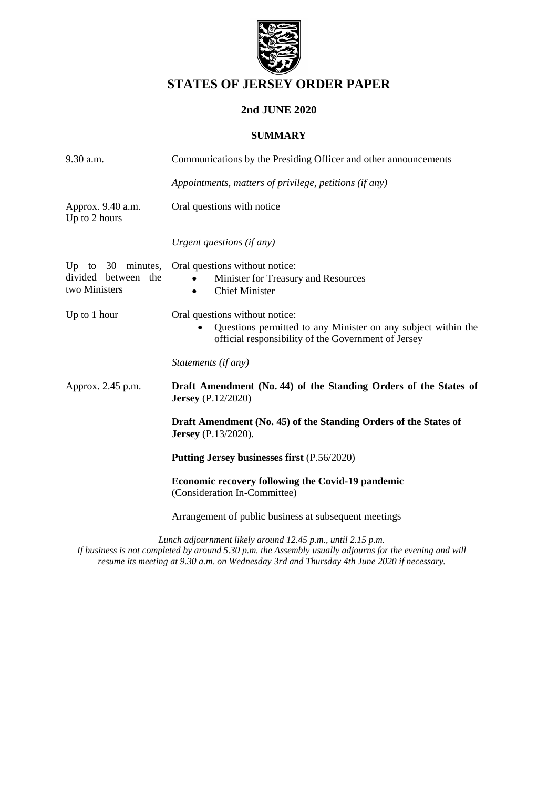

# **STATES OF JERSEY ORDER PAPER**

# **2nd JUNE 2020**

## **SUMMARY**

| 9.30 a.m.                            | Communications by the Presiding Officer and other announcements                                                                                                     |
|--------------------------------------|---------------------------------------------------------------------------------------------------------------------------------------------------------------------|
|                                      | Appointments, matters of privilege, petitions (if any)                                                                                                              |
| Approx. 9.40 a.m.<br>Up to 2 hours   | Oral questions with notice                                                                                                                                          |
|                                      | Urgent questions (if any)                                                                                                                                           |
| divided between the<br>two Ministers | Up to 30 minutes, Oral questions without notice:<br>Minister for Treasury and Resources<br><b>Chief Minister</b><br>$\bullet$                                       |
| Up to 1 hour                         | Oral questions without notice:<br>Questions permitted to any Minister on any subject within the<br>$\bullet$<br>official responsibility of the Government of Jersey |
|                                      | Statements (if any)                                                                                                                                                 |
| Approx. 2.45 p.m.                    | Draft Amendment (No. 44) of the Standing Orders of the States of<br><b>Jersey</b> (P.12/2020)                                                                       |
|                                      | Draft Amendment (No. 45) of the Standing Orders of the States of<br><b>Jersey</b> (P.13/2020).                                                                      |
|                                      | Putting Jersey businesses first (P.56/2020)                                                                                                                         |
|                                      | <b>Economic recovery following the Covid-19 pandemic</b><br>(Consideration In-Committee)                                                                            |
|                                      | Arrangement of public business at subsequent meetings                                                                                                               |
|                                      | Lungh adjournment likely ground 12.45 n m, until 2.15 n m.                                                                                                          |

*Lunch adjournment likely around 12.45 p.m., until 2.15 p.m. If business is not completed by around 5.30 p.m. the Assembly usually adjourns for the evening and will resume its meeting at 9.30 a.m. on Wednesday 3rd and Thursday 4th June 2020 if necessary.*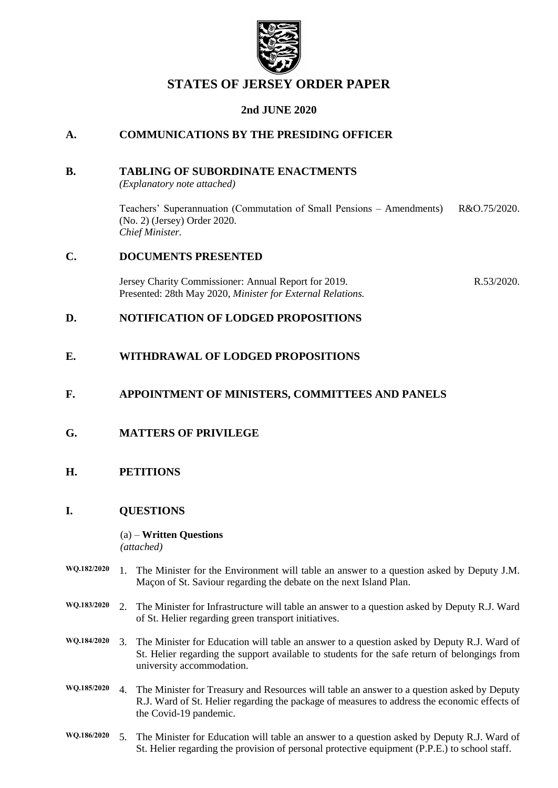

# **STATES OF JERSEY ORDER PAPER**

# **2nd JUNE 2020**

# **A. COMMUNICATIONS BY THE PRESIDING OFFICER**

### **B. TABLING OF SUBORDINATE ENACTMENTS**

*(Explanatory note attached)*

Teachers' Superannuation (Commutation of Small Pensions – Amendments) (No. 2) (Jersey) Order 2020. *Chief Minister.* R&O.75/2020.

## **C. DOCUMENTS PRESENTED**

[Jersey Charity Commissioner: Annual Report for 2019.](https://statesassembly.gov.je/assemblyreports/2020/r.53-2020.pdf) Presented: 28th May 2020, *[Minister for External Relations.](https://statesassembly.gov.je/assemblyreports/2020/r.53-2020.pdf)* [R.53/2020.](https://statesassembly.gov.je/assemblyreports/2020/r.53-2020.pdf)

## **D. NOTIFICATION OF LODGED PROPOSITIONS**

## **E. WITHDRAWAL OF LODGED PROPOSITIONS**

## **F. APPOINTMENT OF MINISTERS, COMMITTEES AND PANELS**

## **G. MATTERS OF PRIVILEGE**

## **H. PETITIONS**

## **I. QUESTIONS**

#### (a) – **Written Questions**

*(attached)*

- **WQ.182/2020** 1. The Minister for the Environment will table an answer to a question asked by Deputy J.M. Maçon of St. Saviour regarding the debate on the next Island Plan.
- **WQ.183/2020** 2. The Minister for Infrastructure will table an answer to a question asked by Deputy R.J. Ward of St. Helier regarding green transport initiatives.
- **WQ.184/2020** 3. The Minister for Education will table an answer to a question asked by Deputy R.J. Ward of St. Helier regarding the support available to students for the safe return of belongings from university accommodation.
- **WQ.185/2020** 4. The Minister for Treasury and Resources will table an answer to a question asked by Deputy R.J. Ward of St. Helier regarding the package of measures to address the economic effects of the Covid-19 pandemic.
- **WQ.186/2020** 5. The Minister for Education will table an answer to a question asked by Deputy R.J. Ward of St. Helier regarding the provision of personal protective equipment (P.P.E.) to school staff.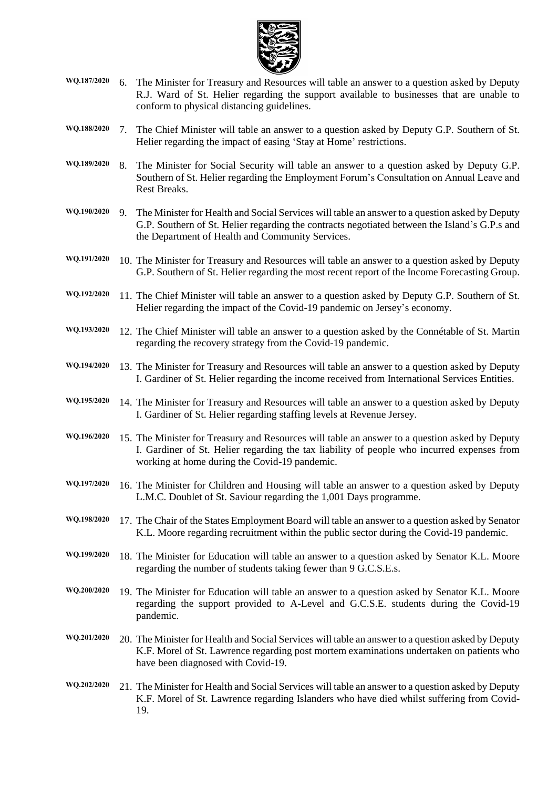

- **WQ.187/2020** 6. The Minister for Treasury and Resources will table an answer to a question asked by Deputy R.J. Ward of St. Helier regarding the support available to businesses that are unable to conform to physical distancing guidelines.
- **WQ.188/2020** 7. The Chief Minister will table an answer to a question asked by Deputy G.P. Southern of St. Helier regarding the impact of easing 'Stay at Home' restrictions.
- **WQ.189/2020** 8. The Minister for Social Security will table an answer to a question asked by Deputy G.P. Southern of St. Helier regarding the Employment Forum's Consultation on Annual Leave and Rest Breaks.
- **WQ.190/2020** 9. The Minister for Health and Social Services will table an answer to a question asked by Deputy G.P. Southern of St. Helier regarding the contracts negotiated between the Island's G.P.s and the Department of Health and Community Services.
- **WQ.191/2020** 10. The Minister for Treasury and Resources will table an answer to a question asked by Deputy G.P. Southern of St. Helier regarding the most recent report of the Income Forecasting Group.
- **WQ.192/2020** 11. The Chief Minister will table an answer to a question asked by Deputy G.P. Southern of St. Helier regarding the impact of the Covid-19 pandemic on Jersey's economy.
- **WQ.193/2020** 12. The Chief Minister will table an answer to a question asked by the Connétable of St. Martin regarding the recovery strategy from the Covid-19 pandemic.
- **WQ.194/2020** 13. The Minister for Treasury and Resources will table an answer to a question asked by Deputy I. Gardiner of St. Helier regarding the income received from International Services Entities.
- **WQ.195/2020** 14. The Minister for Treasury and Resources will table an answer to a question asked by Deputy I. Gardiner of St. Helier regarding staffing levels at Revenue Jersey.
- **WQ.196/2020** 15. The Minister for Treasury and Resources will table an answer to a question asked by Deputy I. Gardiner of St. Helier regarding the tax liability of people who incurred expenses from working at home during the Covid-19 pandemic.
- **WQ.197/2020** 16. The Minister for Children and Housing will table an answer to a question asked by Deputy L.M.C. Doublet of St. Saviour regarding the 1,001 Days programme.
- **WQ.198/2020** 17. The Chair of the States Employment Board will table an answer to a question asked by Senator K.L. Moore regarding recruitment within the public sector during the Covid-19 pandemic.
- **WQ.199/2020** 18. The Minister for Education will table an answer to a question asked by Senator K.L. Moore regarding the number of students taking fewer than 9 G.C.S.E.s.
- **WQ.200/2020** 19. The Minister for Education will table an answer to a question asked by Senator K.L. Moore regarding the support provided to A-Level and G.C.S.E. students during the Covid-19 pandemic.
- **WQ.201/2020** 20. The Minister for Health and Social Services will table an answer to a question asked by Deputy K.F. Morel of St. Lawrence regarding post mortem examinations undertaken on patients who have been diagnosed with Covid-19.
- **WQ.202/2020** 21. The Minister for Health and Social Services will table an answer to a question asked by Deputy K.F. Morel of St. Lawrence regarding Islanders who have died whilst suffering from Covid-19.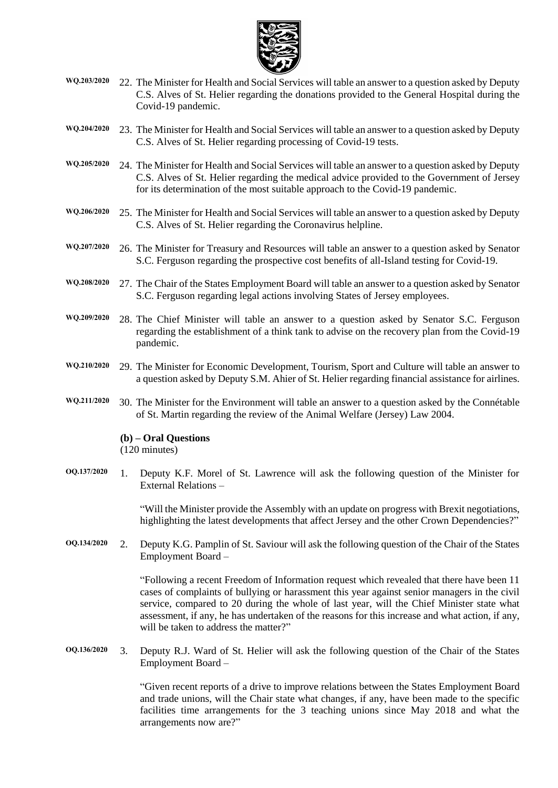

- **WQ.203/2020** 22. The Minister for Health and Social Services will table an answer to a question asked by Deputy C.S. Alves of St. Helier regarding the donations provided to the General Hospital during the Covid-19 pandemic.
- **WQ.204/2020** 23. The Minister for Health and Social Services will table an answer to a question asked by Deputy C.S. Alves of St. Helier regarding processing of Covid-19 tests.
- **WQ.205/2020** 24. The Minister for Health and Social Services will table an answer to a question asked by Deputy C.S. Alves of St. Helier regarding the medical advice provided to the Government of Jersey for its determination of the most suitable approach to the Covid-19 pandemic.
- **WQ.206/2020** 25. The Minister for Health and Social Services will table an answer to a question asked by Deputy C.S. Alves of St. Helier regarding the Coronavirus helpline.
- **WQ.207/2020** 26. The Minister for Treasury and Resources will table an answer to a question asked by Senator S.C. Ferguson regarding the prospective cost benefits of all-Island testing for Covid-19.
- **WQ.208/2020** 27. The Chair of the States Employment Board will table an answer to a question asked by Senator S.C. Ferguson regarding legal actions involving States of Jersey employees.
- **WQ.209/2020** 28. The Chief Minister will table an answer to a question asked by Senator S.C. Ferguson regarding the establishment of a think tank to advise on the recovery plan from the Covid-19 pandemic.
- **WQ.210/2020** 29. The Minister for Economic Development, Tourism, Sport and Culture will table an answer to a question asked by Deputy S.M. Ahier of St. Helier regarding financial assistance for airlines.
- **WQ.211/2020** 30. The Minister for the Environment will table an answer to a question asked by the Connétable of St. Martin regarding the review of the Animal Welfare (Jersey) Law 2004.

**(b) – Oral Questions**

(120 minutes)

**OQ.137/2020** 1. Deputy K.F. Morel of St. Lawrence will ask the following question of the Minister for External Relations –

> "Will the Minister provide the Assembly with an update on progress with Brexit negotiations, highlighting the latest developments that affect Jersey and the other Crown Dependencies?"

**OQ.134/2020** 2. Deputy K.G. Pamplin of St. Saviour will ask the following question of the Chair of the States Employment Board –

> "Following a recent Freedom of Information request which revealed that there have been 11 cases of complaints of bullying or harassment this year against senior managers in the civil service, compared to 20 during the whole of last year, will the Chief Minister state what assessment, if any, he has undertaken of the reasons for this increase and what action, if any, will be taken to address the matter?"

**OQ.136/2020** 3. Deputy R.J. Ward of St. Helier will ask the following question of the Chair of the States Employment Board –

> "Given recent reports of a drive to improve relations between the States Employment Board and trade unions, will the Chair state what changes, if any, have been made to the specific facilities time arrangements for the 3 teaching unions since May 2018 and what the arrangements now are?"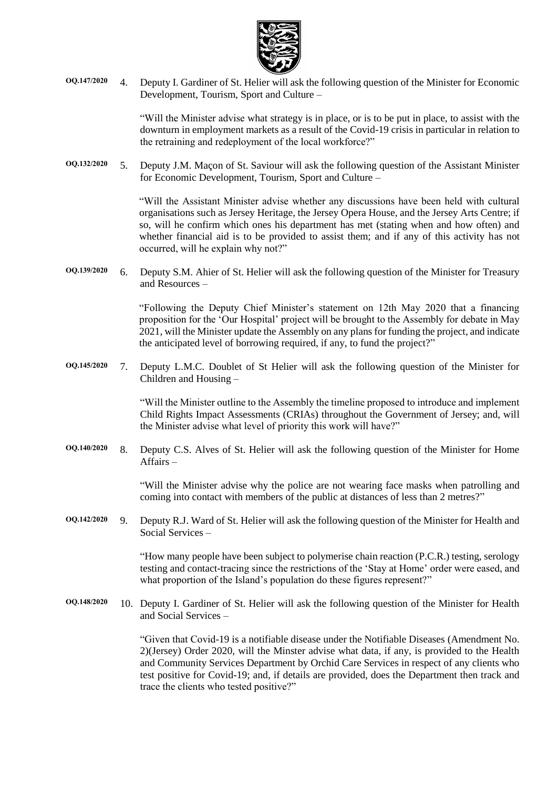

**OQ.147/2020** 4. Deputy I. Gardiner of St. Helier will ask the following question of the Minister for Economic Development, Tourism, Sport and Culture –

> "Will the Minister advise what strategy is in place, or is to be put in place, to assist with the downturn in employment markets as a result of the Covid-19 crisis in particular in relation to the retraining and redeployment of the local workforce?"

**OQ.132/2020** 5. Deputy J.M. Maçon of St. Saviour will ask the following question of the Assistant Minister for Economic Development, Tourism, Sport and Culture –

> "Will the Assistant Minister advise whether any discussions have been held with cultural organisations such as Jersey Heritage, the Jersey Opera House, and the Jersey Arts Centre; if so, will he confirm which ones his department has met (stating when and how often) and whether financial aid is to be provided to assist them; and if any of this activity has not occurred, will he explain why not?"

**OQ.139/2020** 6. Deputy S.M. Ahier of St. Helier will ask the following question of the Minister for Treasury and Resources –

> "Following the Deputy Chief Minister's statement on 12th May 2020 that a financing proposition for the 'Our Hospital' project will be brought to the Assembly for debate in May 2021, will the Minister update the Assembly on any plans for funding the project, and indicate the anticipated level of borrowing required, if any, to fund the project?"

**OQ.145/2020** 7. Deputy L.M.C. Doublet of St Helier will ask the following question of the Minister for Children and Housing –

> "Will the Minister outline to the Assembly the timeline proposed to introduce and implement Child Rights Impact Assessments (CRIAs) throughout the Government of Jersey; and, will the Minister advise what level of priority this work will have?"

**OQ.140/2020** 8. Deputy C.S. Alves of St. Helier will ask the following question of the Minister for Home Affairs –

> "Will the Minister advise why the police are not wearing face masks when patrolling and coming into contact with members of the public at distances of less than 2 metres?"

**OQ.142/2020** 9. Deputy R.J. Ward of St. Helier will ask the following question of the Minister for Health and Social Services –

> "How many people have been subject to polymerise chain reaction (P.C.R.) testing, serology testing and contact-tracing since the restrictions of the 'Stay at Home' order were eased, and what proportion of the Island's population do these figures represent?"

**OQ.148/2020** 10. Deputy I. Gardiner of St. Helier will ask the following question of the Minister for Health and Social Services –

> "Given that Covid-19 is a notifiable disease under the Notifiable Diseases (Amendment No. 2)(Jersey) Order 2020, will the Minster advise what data, if any, is provided to the Health and Community Services Department by Orchid Care Services in respect of any clients who test positive for Covid-19; and, if details are provided, does the Department then track and trace the clients who tested positive?"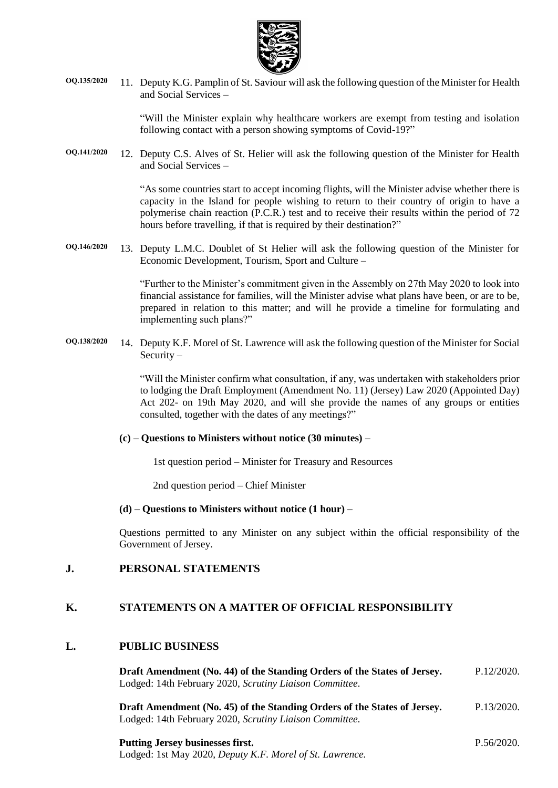

**OQ.135/2020** 11. Deputy K.G. Pamplin of St. Saviour will ask the following question of the Minister for Health and Social Services –

> "Will the Minister explain why healthcare workers are exempt from testing and isolation following contact with a person showing symptoms of Covid-19?"

**OQ.141/2020** 12. Deputy C.S. Alves of St. Helier will ask the following question of the Minister for Health and Social Services –

> "As some countries start to accept incoming flights, will the Minister advise whether there is capacity in the Island for people wishing to return to their country of origin to have a polymerise chain reaction (P.C.R.) test and to receive their results within the period of 72 hours before travelling, if that is required by their destination?"

**OQ.146/2020** 13. Deputy L.M.C. Doublet of St Helier will ask the following question of the Minister for Economic Development, Tourism, Sport and Culture –

> "Further to the Minister's commitment given in the Assembly on 27th May 2020 to look into financial assistance for families, will the Minister advise what plans have been, or are to be, prepared in relation to this matter; and will he provide a timeline for formulating and implementing such plans?"

**OQ.138/2020** 14. Deputy K.F. Morel of St. Lawrence will ask the following question of the Minister for Social Security –

> "Will the Minister confirm what consultation, if any, was undertaken with stakeholders prior to lodging the Draft Employment (Amendment No. 11) (Jersey) Law 2020 (Appointed Day) Act 202- on 19th May 2020, and will she provide the names of any groups or entities consulted, together with the dates of any meetings?"

#### **(c) – Questions to Ministers without notice (30 minutes) –**

1st question period – Minister for Treasury and Resources

2nd question period – Chief Minister

#### **(d) – Questions to Ministers without notice (1 hour) –**

Questions permitted to any Minister on any subject within the official responsibility of the Government of Jersey.

### **J. PERSONAL STATEMENTS**

## **K. STATEMENTS ON A MATTER OF OFFICIAL RESPONSIBILITY**

#### **L. PUBLIC BUSINESS**

| Draft Amendment (No. 44) of the Standing Orders of the States of Jersey. | P.12/2020. |
|--------------------------------------------------------------------------|------------|
| Lodged: 14th February 2020, Scrutiny Liaison Committee.                  |            |
| Droft Amondmont (No. 45) of the Standing Orders of the States of Jersey  | D.13/2020  |

**Draft Amendment (No. [45\) of the Standing Orders of the States of Jersey.](https://statesassembly.gov.je/assemblypropositions/2020/p.13-2020.pdf)** [Lodged: 14th February 2020,](https://statesassembly.gov.je/assemblypropositions/2020/p.13-2020.pdf) *Scrutiny Liaison Committee.* [P.13/2020.](https://statesassembly.gov.je/assemblypropositions/2020/p.13-2020.pdf)

## **[Putting Jersey businesses first.](https://statesassembly.gov.je/AssemblyPropositions/2020/P.56-2020.pdf)** Lodged: 1st May 2020, *[Deputy K.F. Morel of St.](https://statesassembly.gov.je/AssemblyPropositions/2020/P.56-2020.pdf) Lawrence.*

[P.56/2020.](https://statesassembly.gov.je/AssemblyPropositions/2020/P.56-2020.pdf)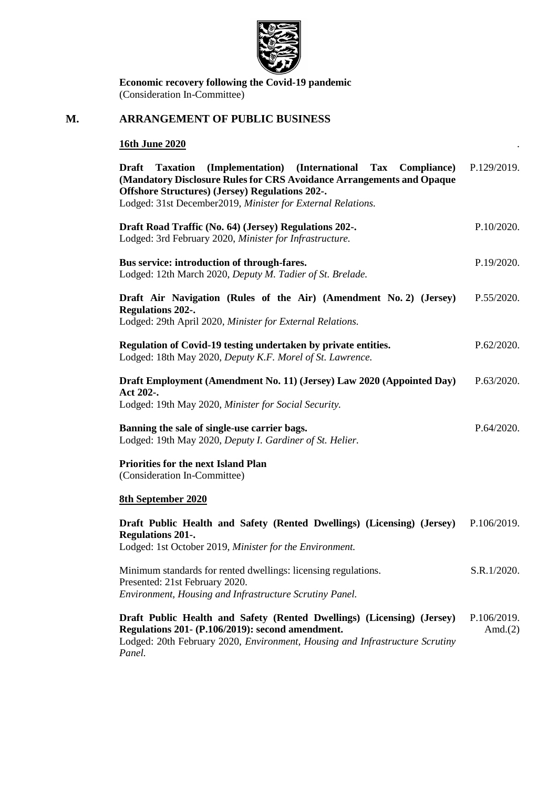

**Economic recovery following the Covid-19 pandemic** (Consideration In-Committee)

# **M. ARRANGEMENT OF PUBLIC BUSINESS**

# **16th June 2020** .

| (Implementation) (International Tax Compliance)<br><b>Draft</b><br><b>Taxation</b><br>(Mandatory Disclosure Rules for CRS Avoidance Arrangements and Opaque<br><b>Offshore Structures</b> ) (Jersey) Regulations 202-.<br>Lodged: 31st December2019, Minister for External Relations. | P.129/2019. |  |
|---------------------------------------------------------------------------------------------------------------------------------------------------------------------------------------------------------------------------------------------------------------------------------------|-------------|--|
| Draft Road Traffic (No. 64) (Jersey) Regulations 202-.<br>Lodged: 3rd February 2020, Minister for Infrastructure.                                                                                                                                                                     | P.10/2020.  |  |
| Bus service: introduction of through-fares.<br>Lodged: 12th March 2020, Deputy M. Tadier of St. Brelade.                                                                                                                                                                              |             |  |
| Draft Air Navigation (Rules of the Air) (Amendment No. 2) (Jersey)<br><b>Regulations 202-.</b><br>Lodged: 29th April 2020, Minister for External Relations.                                                                                                                           | P.55/2020.  |  |
| Regulation of Covid-19 testing undertaken by private entities.<br>Lodged: 18th May 2020, Deputy K.F. Morel of St. Lawrence.                                                                                                                                                           |             |  |
| Draft Employment (Amendment No. 11) (Jersey) Law 2020 (Appointed Day)<br>Act 202-.<br>Lodged: 19th May 2020, Minister for Social Security.                                                                                                                                            | P.63/2020.  |  |
| Banning the sale of single-use carrier bags.<br>Lodged: 19th May 2020, Deputy I. Gardiner of St. Helier.                                                                                                                                                                              |             |  |
| <b>Priorities for the next Island Plan</b><br>(Consideration In-Committee)                                                                                                                                                                                                            |             |  |
| <b>8th September 2020</b>                                                                                                                                                                                                                                                             |             |  |
| Draft Public Health and Safety (Rented Dwellings) (Licensing) (Jersey)<br><b>Regulations 201-.</b><br>Lodged: 1st October 2019, Minister for the Environment.                                                                                                                         | P.106/2019. |  |
| Minimum standards for rented dwellings: licensing regulations.<br>Presented: 21st February 2020.<br>Environment, Housing and Infrastructure Scrutiny Panel.                                                                                                                           | S.R.1/2020. |  |
| Draft Public Health and Safety (Rented Dwellings) (Licensing) (Jersey)<br>Regulations 201- (P.106/2019): second amendment.<br>Lodged: 20th February 2020, Environment, Housing and Infrastructure Scrutiny<br>Panel.                                                                  |             |  |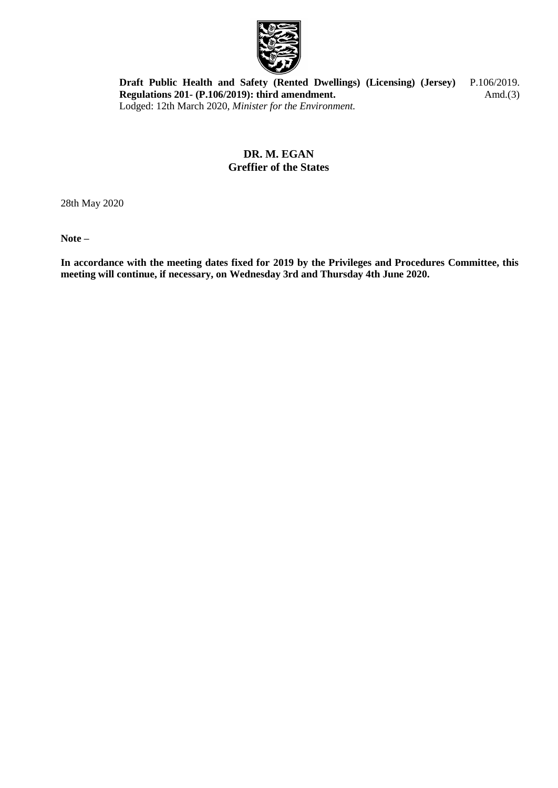

**[Draft Public Health and Safety \(Rented Dwellings\) \(Licensing\) \(Jersey\)](https://statesassembly.gov.je/AssemblyPropositions/2019/P.106-2019Amd(3).pdf)  Regulations 201- [\(P.106/2019\): third amendment.](https://statesassembly.gov.je/AssemblyPropositions/2019/P.106-2019Amd(3).pdf)** Lodged: 12th March 2020, *[Minister for the Environment.](https://statesassembly.gov.je/AssemblyPropositions/2019/P.106-2019Amd(3).pdf)* [P.106/2019.](https://statesassembly.gov.je/AssemblyPropositions/2019/P.106-2019Amd(3).pdf) Amd. $(3)$ 

# **DR. M. EGAN Greffier of the States**

28th May 2020

**Note –**

**In accordance with the meeting dates fixed for 2019 by the Privileges and Procedures Committee, this meeting will continue, if necessary, on Wednesday 3rd and Thursday 4th June 2020.**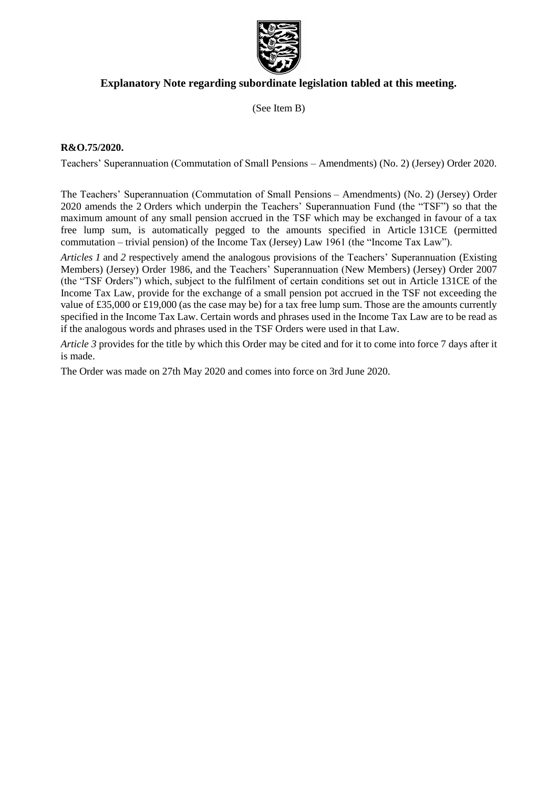

# **Explanatory Note regarding subordinate legislation tabled at this meeting.**

(See Item B)

### **R&O.75/2020.**

Teachers' Superannuation (Commutation of Small Pensions – Amendments) (No. 2) (Jersey) Order 2020.

The Teachers' Superannuation (Commutation of Small Pensions – Amendments) (No. 2) (Jersey) Order 2020 amends the 2 Orders which underpin the Teachers' Superannuation Fund (the "TSF") so that the maximum amount of any small pension accrued in the TSF which may be exchanged in favour of a tax free lump sum, is automatically pegged to the amounts specified in Article 131CE (permitted commutation – trivial pension) of the Income Tax (Jersey) Law 1961 (the "Income Tax Law").

*Articles 1* and *2* respectively amend the analogous provisions of the Teachers' Superannuation (Existing Members) (Jersey) Order 1986, and the Teachers' Superannuation (New Members) (Jersey) Order 2007 (the "TSF Orders") which, subject to the fulfilment of certain conditions set out in Article 131CE of the Income Tax Law, provide for the exchange of a small pension pot accrued in the TSF not exceeding the value of £35,000 or £19,000 (as the case may be) for a tax free lump sum. Those are the amounts currently specified in the Income Tax Law. Certain words and phrases used in the Income Tax Law are to be read as if the analogous words and phrases used in the TSF Orders were used in that Law.

*Article 3* provides for the title by which this Order may be cited and for it to come into force 7 days after it is made.

The Order was made on 27th May 2020 and comes into force on 3rd June 2020.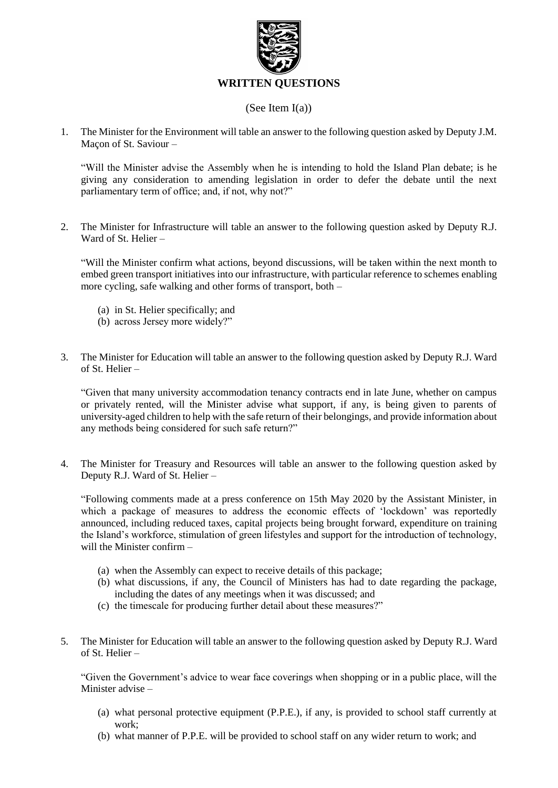

## (See Item I(a))

1. The Minister for the Environment will table an answer to the following question asked by Deputy J.M. Maçon of St. Saviour –

"Will the Minister advise the Assembly when he is intending to hold the Island Plan debate; is he giving any consideration to amending legislation in order to defer the debate until the next parliamentary term of office; and, if not, why not?"

2. The Minister for Infrastructure will table an answer to the following question asked by Deputy R.J. Ward of St. Helier –

"Will the Minister confirm what actions, beyond discussions, will be taken within the next month to embed green transport initiatives into our infrastructure, with particular reference to schemes enabling more cycling, safe walking and other forms of transport, both –

- (a) in St. Helier specifically; and
- (b) across Jersey more widely?"
- 3. The Minister for Education will table an answer to the following question asked by Deputy R.J. Ward of St. Helier –

"Given that many university accommodation tenancy contracts end in late June, whether on campus or privately rented, will the Minister advise what support, if any, is being given to parents of university-aged children to help with the safe return of their belongings, and provide information about any methods being considered for such safe return?"

4. The Minister for Treasury and Resources will table an answer to the following question asked by Deputy R.J. Ward of St. Helier –

"Following comments made at a press conference on 15th May 2020 by the Assistant Minister, in which a package of measures to address the economic effects of 'lockdown' was reportedly announced, including reduced taxes, capital projects being brought forward, expenditure on training the Island's workforce, stimulation of green lifestyles and support for the introduction of technology, will the Minister confirm –

- (a) when the Assembly can expect to receive details of this package;
- (b) what discussions, if any, the Council of Ministers has had to date regarding the package, including the dates of any meetings when it was discussed; and
- (c) the timescale for producing further detail about these measures?"
- 5. The Minister for Education will table an answer to the following question asked by Deputy R.J. Ward of St. Helier –

"Given the Government's advice to wear face coverings when shopping or in a public place, will the Minister advise –

- (a) what personal protective equipment (P.P.E.), if any, is provided to school staff currently at work;
- (b) what manner of P.P.E. will be provided to school staff on any wider return to work; and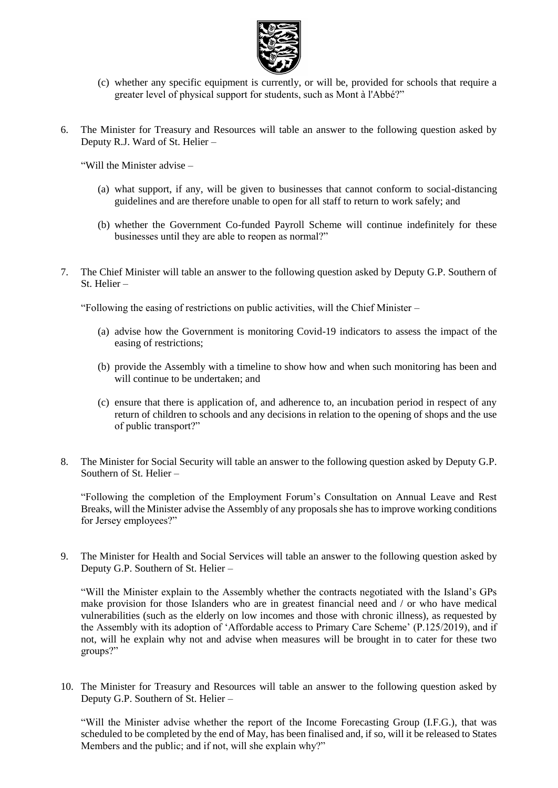

- (c) whether any specific equipment is currently, or will be, provided for schools that require a greater level of physical support for students, such as Mont à l'Abbé?"
- 6. The Minister for Treasury and Resources will table an answer to the following question asked by Deputy R.J. Ward of St. Helier –

"Will the Minister advise –

- (a) what support, if any, will be given to businesses that cannot conform to social-distancing guidelines and are therefore unable to open for all staff to return to work safely; and
- (b) whether the Government Co-funded Payroll Scheme will continue indefinitely for these businesses until they are able to reopen as normal?"
- 7. The Chief Minister will table an answer to the following question asked by Deputy G.P. Southern of St. Helier –

"Following the easing of restrictions on public activities, will the Chief Minister –

- (a) advise how the Government is monitoring Covid-19 indicators to assess the impact of the easing of restrictions;
- (b) provide the Assembly with a timeline to show how and when such monitoring has been and will continue to be undertaken; and
- (c) ensure that there is application of, and adherence to, an incubation period in respect of any return of children to schools and any decisions in relation to the opening of shops and the use of public transport?"
- 8. The Minister for Social Security will table an answer to the following question asked by Deputy G.P. Southern of St. Helier –

"Following the completion of the Employment Forum's Consultation on Annual Leave and Rest Breaks, will the Minister advise the Assembly of any proposals she has to improve working conditions for Jersey employees?"

9. The Minister for Health and Social Services will table an answer to the following question asked by Deputy G.P. Southern of St. Helier –

"Will the Minister explain to the Assembly whether the contracts negotiated with the Island's GPs make provision for those Islanders who are in greatest financial need and / or who have medical vulnerabilities (such as the elderly on low incomes and those with chronic illness), as requested by the Assembly with its adoption of 'Affordable access to Primary Care Scheme' (P.125/2019), and if not, will he explain why not and advise when measures will be brought in to cater for these two groups?"

10. The Minister for Treasury and Resources will table an answer to the following question asked by Deputy G.P. Southern of St. Helier –

"Will the Minister advise whether the report of the Income Forecasting Group (I.F.G.), that was scheduled to be completed by the end of May, has been finalised and, if so, will it be released to States Members and the public; and if not, will she explain why?"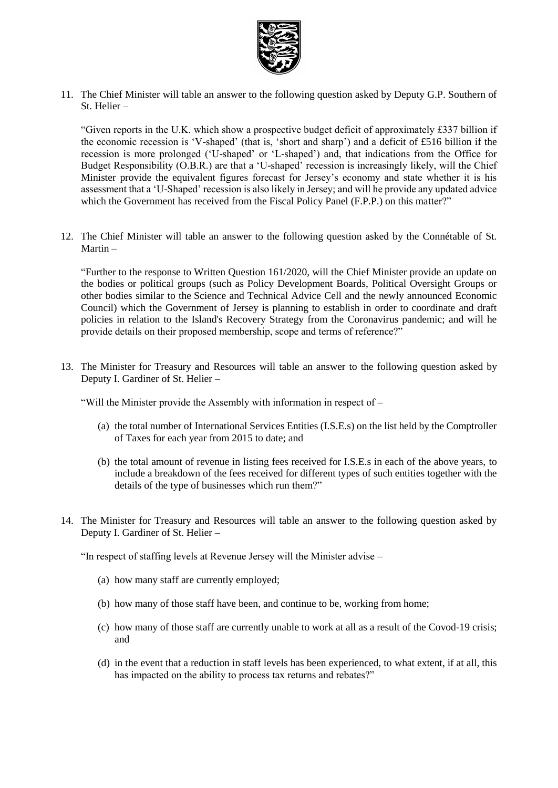

11. The Chief Minister will table an answer to the following question asked by Deputy G.P. Southern of St. Helier –

"Given reports in the U.K. which show a prospective budget deficit of approximately £337 billion if the economic recession is 'V-shaped' (that is, 'short and sharp') and a deficit of £516 billion if the recession is more prolonged ('U-shaped' or 'L-shaped') and, that indications from the Office for Budget Responsibility (O.B.R.) are that a 'U-shaped' recession is increasingly likely, will the Chief Minister provide the equivalent figures forecast for Jersey's economy and state whether it is his assessment that a 'U-Shaped' recession is also likely in Jersey; and will he provide any updated advice which the Government has received from the Fiscal Policy Panel (F.P.P.) on this matter?"

12. The Chief Minister will table an answer to the following question asked by the Connétable of St. Martin –

"Further to the response to Written Question 161/2020, will the Chief Minister provide an update on the bodies or political groups (such as Policy Development Boards, Political Oversight Groups or other bodies similar to the Science and Technical Advice Cell and the newly announced Economic Council) which the Government of Jersey is planning to establish in order to coordinate and draft policies in relation to the Island's Recovery Strategy from the Coronavirus pandemic; and will he provide details on their proposed membership, scope and terms of reference?"

13. The Minister for Treasury and Resources will table an answer to the following question asked by Deputy I. Gardiner of St. Helier –

"Will the Minister provide the Assembly with information in respect of –

- (a) the total number of International Services Entities (I.S.E.s) on the list held by the Comptroller of Taxes for each year from 2015 to date; and
- (b) the total amount of revenue in listing fees received for I.S.E.s in each of the above years, to include a breakdown of the fees received for different types of such entities together with the details of the type of businesses which run them?"
- 14. The Minister for Treasury and Resources will table an answer to the following question asked by Deputy I. Gardiner of St. Helier –

"In respect of staffing levels at Revenue Jersey will the Minister advise –

- (a) how many staff are currently employed;
- (b) how many of those staff have been, and continue to be, working from home;
- (c) how many of those staff are currently unable to work at all as a result of the Covod-19 crisis; and
- (d) in the event that a reduction in staff levels has been experienced, to what extent, if at all, this has impacted on the ability to process tax returns and rebates?"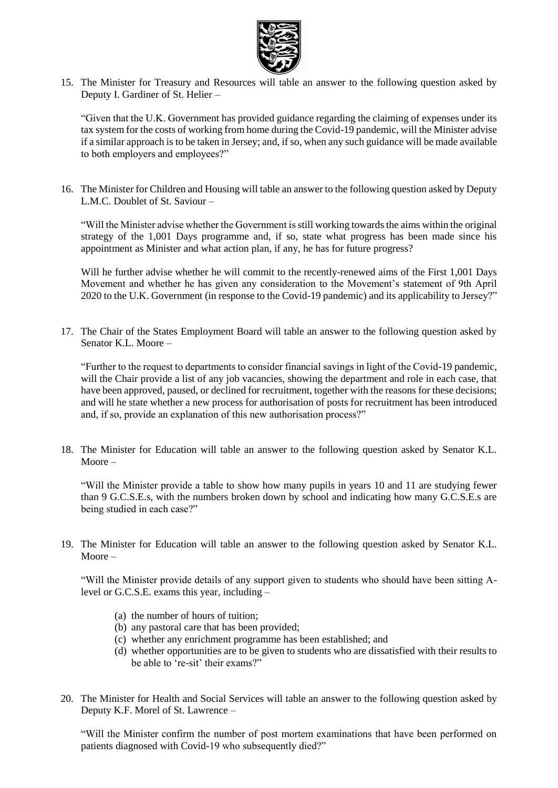

15. The Minister for Treasury and Resources will table an answer to the following question asked by Deputy I. Gardiner of St. Helier –

"Given that the U.K. Government has provided guidance regarding the claiming of expenses under its tax system for the costs of working from home during the Covid-19 pandemic, will the Minister advise if a similar approach is to be taken in Jersey; and, if so, when any such guidance will be made available to both employers and employees?"

16. The Minister for Children and Housing will table an answer to the following question asked by Deputy L.M.C. Doublet of St. Saviour –

"Will the Minister advise whether the Government is still working towards the aims within the original strategy of the 1,001 Days programme and, if so, state what progress has been made since his appointment as Minister and what action plan, if any, he has for future progress?

Will he further advise whether he will commit to the recently-renewed aims of the First 1,001 Days Movement and whether he has given any consideration to the Movement's statement of 9th April 2020 to the U.K. Government (in response to the Covid-19 pandemic) and its applicability to Jersey?"

17. The Chair of the States Employment Board will table an answer to the following question asked by Senator K.L. Moore –

"Further to the request to departments to consider financial savings in light of the Covid-19 pandemic, will the Chair provide a list of any job vacancies, showing the department and role in each case, that have been approved, paused, or declined for recruitment, together with the reasons for these decisions; and will he state whether a new process for authorisation of posts for recruitment has been introduced and, if so, provide an explanation of this new authorisation process?"

18. The Minister for Education will table an answer to the following question asked by Senator K.L. Moore –

"Will the Minister provide a table to show how many pupils in years 10 and 11 are studying fewer than 9 G.C.S.E.s, with the numbers broken down by school and indicating how many G.C.S.E.s are being studied in each case?"

19. The Minister for Education will table an answer to the following question asked by Senator K.L. Moore –

"Will the Minister provide details of any support given to students who should have been sitting Alevel or G.C.S.E. exams this year, including –

- (a) the number of hours of tuition;
- (b) any pastoral care that has been provided;
- (c) whether any enrichment programme has been established; and
- (d) whether opportunities are to be given to students who are dissatisfied with their results to be able to 're-sit' their exams?"
- 20. The Minister for Health and Social Services will table an answer to the following question asked by Deputy K.F. Morel of St. Lawrence –

"Will the Minister confirm the number of post mortem examinations that have been performed on patients diagnosed with Covid-19 who subsequently died?"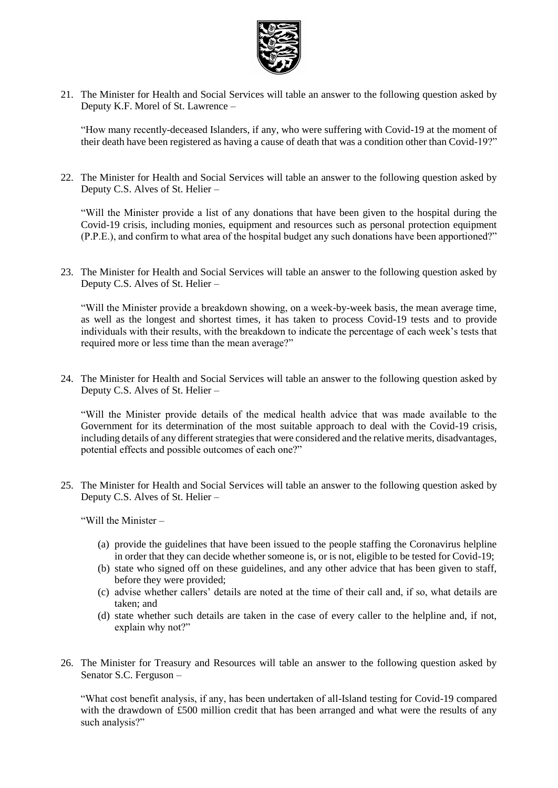

21. The Minister for Health and Social Services will table an answer to the following question asked by Deputy K.F. Morel of St. Lawrence –

"How many recently-deceased Islanders, if any, who were suffering with Covid-19 at the moment of their death have been registered as having a cause of death that was a condition other than Covid-19?"

22. The Minister for Health and Social Services will table an answer to the following question asked by Deputy C.S. Alves of St. Helier –

"Will the Minister provide a list of any donations that have been given to the hospital during the Covid-19 crisis, including monies, equipment and resources such as personal protection equipment (P.P.E.), and confirm to what area of the hospital budget any such donations have been apportioned?"

23. The Minister for Health and Social Services will table an answer to the following question asked by Deputy C.S. Alves of St. Helier –

"Will the Minister provide a breakdown showing, on a week-by-week basis, the mean average time, as well as the longest and shortest times, it has taken to process Covid-19 tests and to provide individuals with their results, with the breakdown to indicate the percentage of each week's tests that required more or less time than the mean average?"

24. The Minister for Health and Social Services will table an answer to the following question asked by Deputy C.S. Alves of St. Helier –

"Will the Minister provide details of the medical health advice that was made available to the Government for its determination of the most suitable approach to deal with the Covid-19 crisis, including details of any different strategies that were considered and the relative merits, disadvantages, potential effects and possible outcomes of each one?"

25. The Minister for Health and Social Services will table an answer to the following question asked by Deputy C.S. Alves of St. Helier –

"Will the Minister –

- (a) provide the guidelines that have been issued to the people staffing the Coronavirus helpline in order that they can decide whether someone is, or is not, eligible to be tested for Covid-19;
- (b) state who signed off on these guidelines, and any other advice that has been given to staff, before they were provided;
- (c) advise whether callers' details are noted at the time of their call and, if so, what details are taken; and
- (d) state whether such details are taken in the case of every caller to the helpline and, if not, explain why not?"
- 26. The Minister for Treasury and Resources will table an answer to the following question asked by Senator S.C. Ferguson –

"What cost benefit analysis, if any, has been undertaken of all-Island testing for Covid-19 compared with the drawdown of £500 million credit that has been arranged and what were the results of any such analysis?"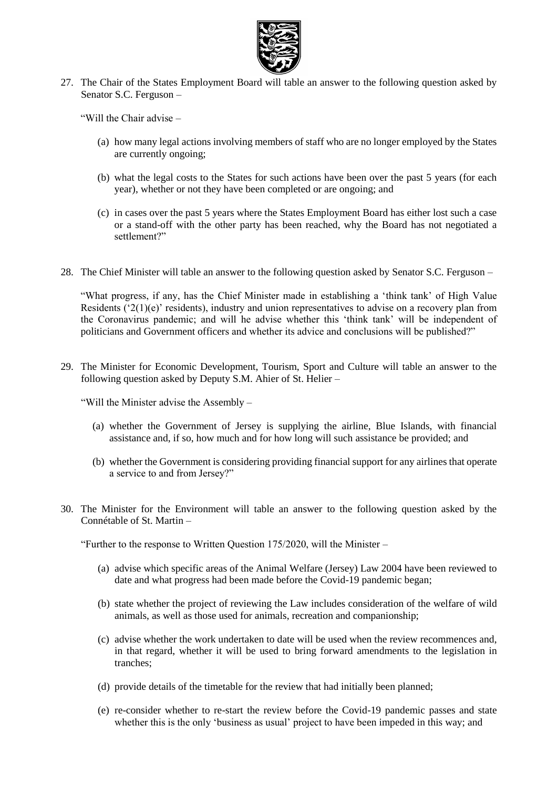

27. The Chair of the States Employment Board will table an answer to the following question asked by Senator S.C. Ferguson –

"Will the Chair advise –

- (a) how many legal actions involving members of staff who are no longer employed by the States are currently ongoing;
- (b) what the legal costs to the States for such actions have been over the past 5 years (for each year), whether or not they have been completed or are ongoing; and
- (c) in cases over the past 5 years where the States Employment Board has either lost such a case or a stand-off with the other party has been reached, why the Board has not negotiated a settlement?"
- 28. The Chief Minister will table an answer to the following question asked by Senator S.C. Ferguson –

"What progress, if any, has the Chief Minister made in establishing a 'think tank' of High Value Residents  $(2(1)(e)$ ' residents), industry and union representatives to advise on a recovery plan from the Coronavirus pandemic; and will he advise whether this 'think tank' will be independent of politicians and Government officers and whether its advice and conclusions will be published?"

29. The Minister for Economic Development, Tourism, Sport and Culture will table an answer to the following question asked by Deputy S.M. Ahier of St. Helier –

"Will the Minister advise the Assembly –

- (a) whether the Government of Jersey is supplying the airline, Blue Islands, with financial assistance and, if so, how much and for how long will such assistance be provided; and
- (b) whether the Government is considering providing financial support for any airlines that operate a service to and from Jersey?"
- 30. The Minister for the Environment will table an answer to the following question asked by the Connétable of St. Martin –

"Further to the response to Written Question 175/2020, will the Minister –

- (a) advise which specific areas of the Animal Welfare (Jersey) Law 2004 have been reviewed to date and what progress had been made before the Covid-19 pandemic began;
- (b) state whether the project of reviewing the Law includes consideration of the welfare of wild animals, as well as those used for animals, recreation and companionship;
- (c) advise whether the work undertaken to date will be used when the review recommences and, in that regard, whether it will be used to bring forward amendments to the legislation in tranches;
- (d) provide details of the timetable for the review that had initially been planned;
- (e) re-consider whether to re-start the review before the Covid-19 pandemic passes and state whether this is the only 'business as usual' project to have been impeded in this way; and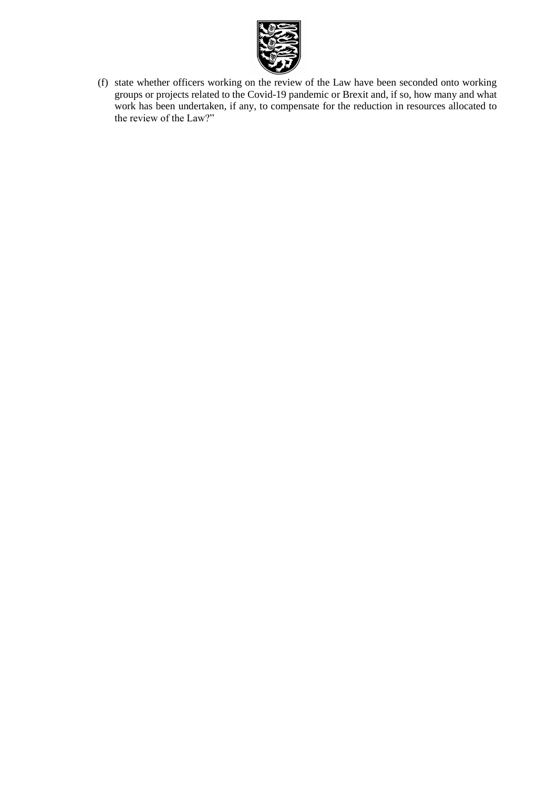

(f) state whether officers working on the review of the Law have been seconded onto working groups or projects related to the Covid-19 pandemic or Brexit and, if so, how many and what work has been undertaken, if any, to compensate for the reduction in resources allocated to the review of the Law?"